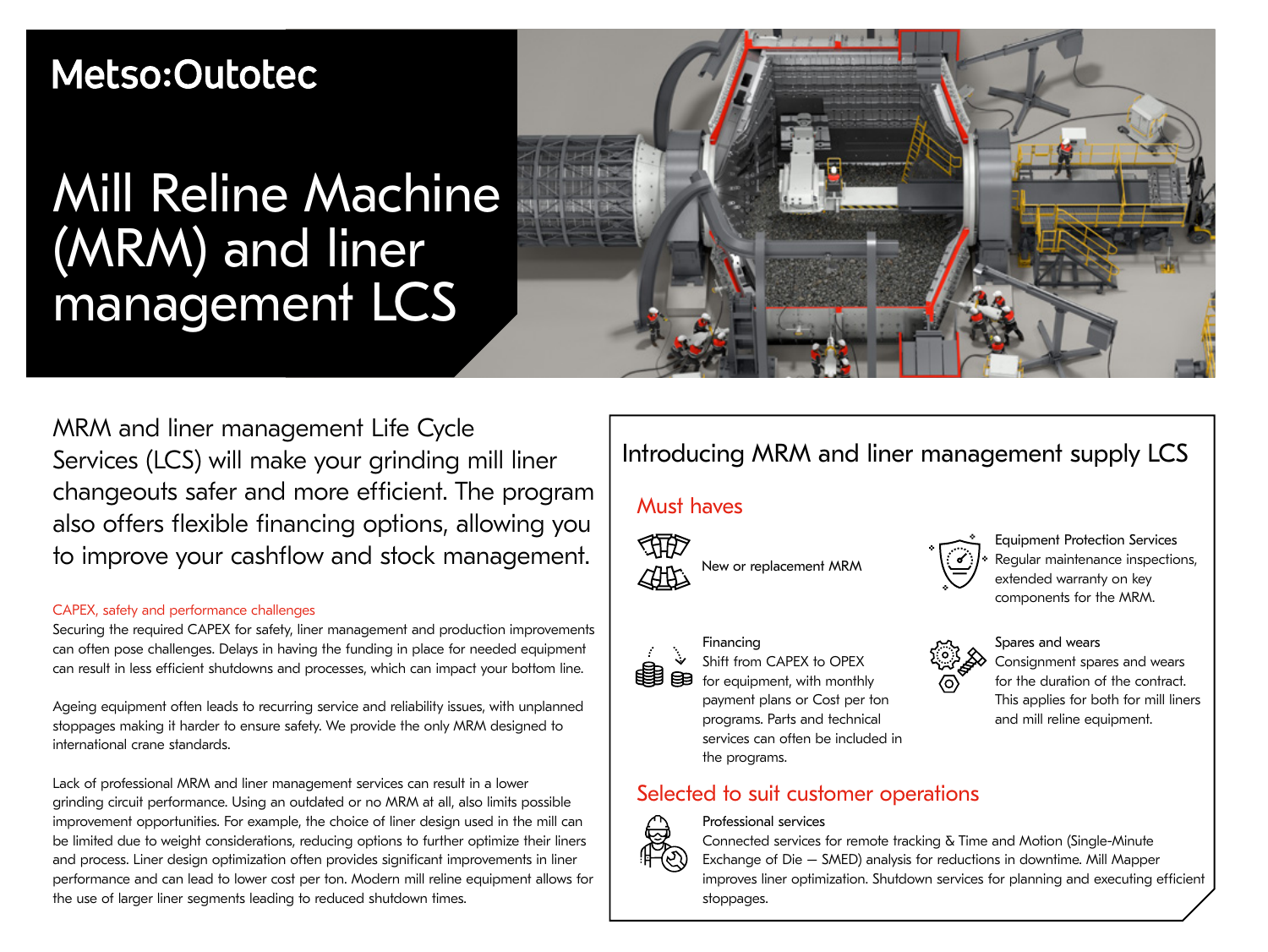# Metso:Outotec

# Mill Reline Machine (MRM) and liner management LCS



MRM and liner management Life Cycle Services (LCS) will make your grinding mill liner changeouts safer and more efficient. The program also offers flexible financing options, allowing you to improve your cashflow and stock management.

### CAPEX, safety and performance challenges

Securing the required CAPEX for safety, liner management and production improvements can often pose challenges. Delays in having the funding in place for needed equipment can result in less efficient shutdowns and processes, which can impact your bottom line.

Ageing equipment often leads to recurring service and reliability issues, with unplanned stoppages making it harder to ensure safety. We provide the only MRM designed to international crane standards.

Lack of professional MRM and liner management services can result in a lower grinding circuit performance. Using an outdated or no MRM at all, also limits possible improvement opportunities. For example, the choice of liner design used in the mill can be limited due to weight considerations, reducing options to further optimize their liners and process. Liner design optimization often provides significant improvements in liner performance and can lead to lower cost per ton. Modern mill reline equipment allows for the use of larger liner segments leading to reduced shutdown times.

# Introducing MRM and liner management supply LCS

## Must haves



New or replacement MRM



Financing Shift from CAPEX to OPEX for equipment, with monthly payment plans or Cost per ton programs. Parts and technical services can often be included in the programs.

## Selected to suit customer operations



### Professional services

Connected services for remote tracking & Time and Motion (Single-Minute Exchange of Die – SMED) analysis for reductions in downtime. Mill Mapper improves liner optimization. Shutdown services for planning and executing efficient stoppages.

Equipment Protection Services Regular maintenance inspections, extended warranty on key components for the MRM.



Consignment spares and wears for the duration of the contract. This applies for both for mill liners and mill reline equipment.